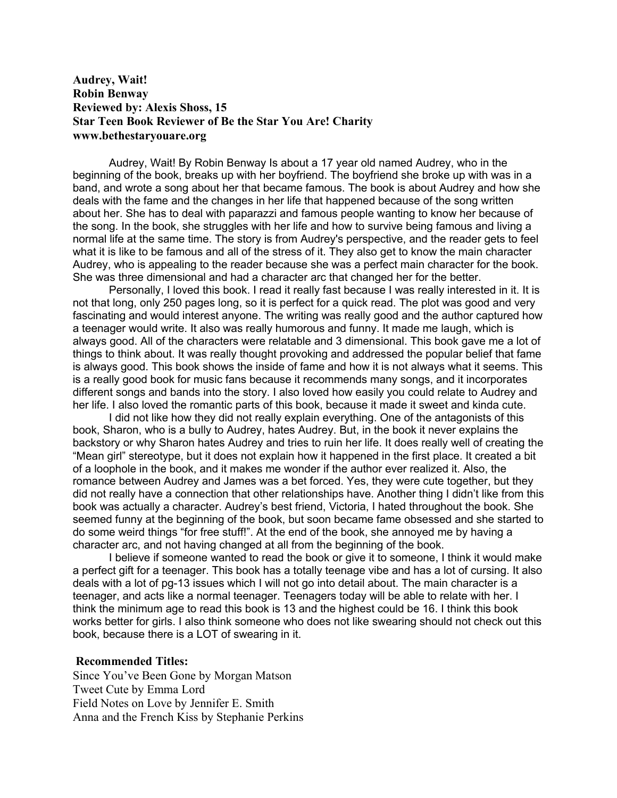## **Audrey, Wait! Robin Benway Reviewed by: Alexis Shoss, 15 Star Teen Book Reviewer of Be the Star You Are! Charity www.bethestaryouare.org**

Audrey, Wait! By Robin Benway Is about a 17 year old named Audrey, who in the beginning of the book, breaks up with her boyfriend. The boyfriend she broke up with was in a band, and wrote a song about her that became famous. The book is about Audrey and how she deals with the fame and the changes in her life that happened because of the song written about her. She has to deal with paparazzi and famous people wanting to know her because of the song. In the book, she struggles with her life and how to survive being famous and living a normal life at the same time. The story is from Audrey's perspective, and the reader gets to feel what it is like to be famous and all of the stress of it. They also get to know the main character Audrey, who is appealing to the reader because she was a perfect main character for the book. She was three dimensional and had a character arc that changed her for the better.

Personally, I loved this book. I read it really fast because I was really interested in it. It is not that long, only 250 pages long, so it is perfect for a quick read. The plot was good and very fascinating and would interest anyone. The writing was really good and the author captured how a teenager would write. It also was really humorous and funny. It made me laugh, which is always good. All of the characters were relatable and 3 dimensional. This book gave me a lot of things to think about. It was really thought provoking and addressed the popular belief that fame is always good. This book shows the inside of fame and how it is not always what it seems. This is a really good book for music fans because it recommends many songs, and it incorporates different songs and bands into the story. I also loved how easily you could relate to Audrey and her life. I also loved the romantic parts of this book, because it made it sweet and kinda cute.

I did not like how they did not really explain everything. One of the antagonists of this book, Sharon, who is a bully to Audrey, hates Audrey. But, in the book it never explains the backstory or why Sharon hates Audrey and tries to ruin her life. It does really well of creating the "Mean girl" stereotype, but it does not explain how it happened in the first place. It created a bit of a loophole in the book, and it makes me wonder if the author ever realized it. Also, the romance between Audrey and James was a bet forced. Yes, they were cute together, but they did not really have a connection that other relationships have. Another thing I didn't like from this book was actually a character. Audrey's best friend, Victoria, I hated throughout the book. She seemed funny at the beginning of the book, but soon became fame obsessed and she started to do some weird things "for free stuff!". At the end of the book, she annoyed me by having a character arc, and not having changed at all from the beginning of the book.

I believe if someone wanted to read the book or give it to someone, I think it would make a perfect gift for a teenager. This book has a totally teenage vibe and has a lot of cursing. It also deals with a lot of pg-13 issues which I will not go into detail about. The main character is a teenager, and acts like a normal teenager. Teenagers today will be able to relate with her. I think the minimum age to read this book is 13 and the highest could be 16. I think this book works better for girls. I also think someone who does not like swearing should not check out this book, because there is a LOT of swearing in it.

## **Recommended Titles:**

Since You've Been Gone by Morgan Matson Tweet Cute by Emma Lord Field Notes on Love by Jennifer E. Smith Anna and the French Kiss by Stephanie Perkins